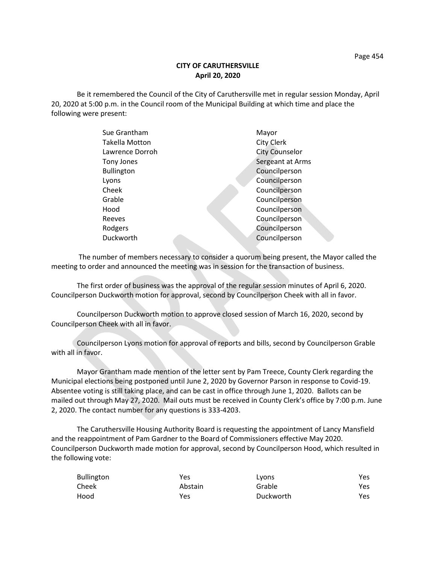## **CITY OF CARUTHERSVILLE April 20, 2020**

Be it remembered the Council of the City of Caruthersville met in regular session Monday, April 20, 2020 at 5:00 p.m. in the Council room of the Municipal Building at which time and place the following were present:

| Mayor                 |
|-----------------------|
| City Clerk            |
| <b>City Counselor</b> |
| Sergeant at Arms      |
| Councilperson         |
| Councilperson         |
| Councilperson         |
| Councilperson         |
| Councilperson         |
| Councilperson         |
| Councilperson         |
| Councilperson         |
|                       |

 The number of members necessary to consider a quorum being present, the Mayor called the meeting to order and announced the meeting was in session for the transaction of business.

The first order of business was the approval of the regular session minutes of April 6, 2020. Councilperson Duckworth motion for approval, second by Councilperson Cheek with all in favor.

Councilperson Duckworth motion to approve closed session of March 16, 2020, second by Councilperson Cheek with all in favor.

Councilperson Lyons motion for approval of reports and bills, second by Councilperson Grable with all in favor.

Mayor Grantham made mention of the letter sent by Pam Treece, County Clerk regarding the Municipal elections being postponed until June 2, 2020 by Governor Parson in response to Covid-19. Absentee voting is still taking place, and can be cast in office through June 1, 2020. Ballots can be mailed out through May 27, 2020. Mail outs must be received in County Clerk's office by 7:00 p.m. June 2, 2020. The contact number for any questions is 333-4203.

The Caruthersville Housing Authority Board is requesting the appointment of Lancy Mansfield and the reappointment of Pam Gardner to the Board of Commissioners effective May 2020. Councilperson Duckworth made motion for approval, second by Councilperson Hood, which resulted in the following vote:

| Bullington | Yes     | Lyons     | Yes |
|------------|---------|-----------|-----|
| Cheek      | Abstain | Grable    | Yes |
| Hood       | Yes     | Duckworth | Yes |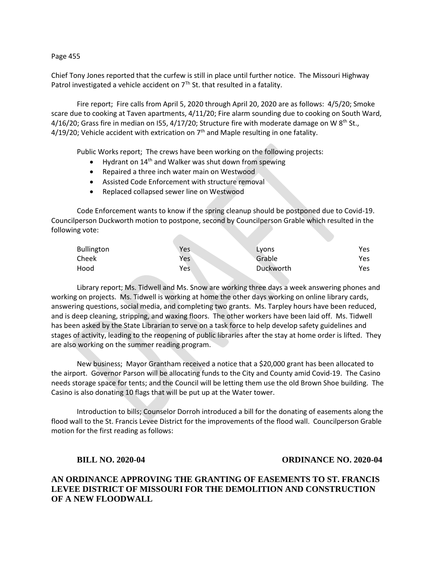#### Page 455

Chief Tony Jones reported that the curfew is still in place until further notice. The Missouri Highway Patrol investigated a vehicle accident on  $7<sup>Th</sup>$  St. that resulted in a fatality.

Fire report; Fire calls from April 5, 2020 through April 20, 2020 are as follows: 4/5/20; Smoke scare due to cooking at Taven apartments, 4/11/20; Fire alarm sounding due to cooking on South Ward, 4/16/20; Grass fire in median on I55, 4/17/20; Structure fire with moderate damage on W  $8<sup>th</sup>$  St.,  $4/19/20$ ; Vehicle accident with extrication on  $7<sup>th</sup>$  and Maple resulting in one fatality.

Public Works report; The crews have been working on the following projects:

- Hydrant on  $14<sup>th</sup>$  and Walker was shut down from spewing
- Repaired a three inch water main on Westwood
- Assisted Code Enforcement with structure removal
- Replaced collapsed sewer line on Westwood

Code Enforcement wants to know if the spring cleanup should be postponed due to Covid-19. Councilperson Duckworth motion to postpone, second by Councilperson Grable which resulted in the following vote:

| <b>Bullington</b> | Yes.       | Lyons     | Yes |
|-------------------|------------|-----------|-----|
| Cheek             | <b>Yes</b> | Grable    | Yes |
| Hood              | Yes.       | Duckworth | Yes |

Library report; Ms. Tidwell and Ms. Snow are working three days a week answering phones and working on projects. Ms. Tidwell is working at home the other days working on online library cards, answering questions, social media, and completing two grants. Ms. Tarpley hours have been reduced, and is deep cleaning, stripping, and waxing floors. The other workers have been laid off. Ms. Tidwell has been asked by the State Librarian to serve on a task force to help develop safety guidelines and stages of activity, leading to the reopening of public libraries after the stay at home order is lifted. They are also working on the summer reading program.

New business; Mayor Grantham received a notice that a \$20,000 grant has been allocated to the airport. Governor Parson will be allocating funds to the City and County amid Covid-19. The Casino needs storage space for tents; and the Council will be letting them use the old Brown Shoe building. The Casino is also donating 10 flags that will be put up at the Water tower.

Introduction to bills; Counselor Dorroh introduced a bill for the donating of easements along the flood wall to the St. Francis Levee District for the improvements of the flood wall. Councilperson Grable motion for the first reading as follows:

## **BILL NO. 2020-04 ORDINANCE NO. 2020-04**

# **AN ORDINANCE APPROVING THE GRANTING OF EASEMENTS TO ST. FRANCIS LEVEE DISTRICT OF MISSOURI FOR THE DEMOLITION AND CONSTRUCTION OF A NEW FLOODWALL**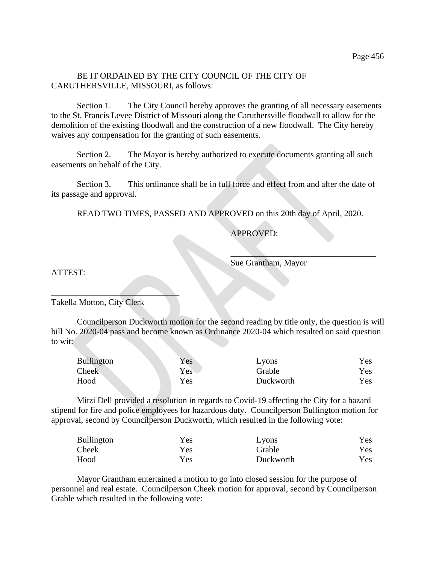# BE IT ORDAINED BY THE CITY COUNCIL OF THE CITY OF CARUTHERSVILLE, MISSOURI, as follows:

Section 1. The City Council hereby approves the granting of all necessary easements to the St. Francis Levee District of Missouri along the Caruthersville floodwall to allow for the demolition of the existing floodwall and the construction of a new floodwall. The City hereby waives any compensation for the granting of such easements.

Section 2. The Mayor is hereby authorized to execute documents granting all such easements on behalf of the City.

Section 3. This ordinance shall be in full force and effect from and after the date of its passage and approval.

READ TWO TIMES, PASSED AND APPROVED on this 20th day of April, 2020.

# APPROVED:

Sue Grantham, Mayor

 $\mathcal{L}=\mathcal{L}$  , we can also assume that the set of  $\mathcal{L}=\mathcal{L}$ 

ATTEST:

Takella Motton, City Clerk

 $\mathcal{L}=\mathcal{L}^{\mathcal{L}}$ 

Councilperson Duckworth motion for the second reading by title only, the question is will bill No. 2020-04 pass and become known as Ordinance 2020-04 which resulted on said question to wit:

| <b>Bullington</b> | Yes | Lyons     | Yes |
|-------------------|-----|-----------|-----|
| Cheek             | Yes | Grable    | Yes |
| Hood              | Yes | Duckworth | Yes |

Mitzi Dell provided a resolution in regards to Covid-19 affecting the City for a hazard stipend for fire and police employees for hazardous duty. Councilperson Bullington motion for approval, second by Councilperson Duckworth, which resulted in the following vote:

| <b>Bullington</b> | Yes | Lyons     | <b>Yes</b> |
|-------------------|-----|-----------|------------|
| Cheek             | Yes | Grable    | <b>Yes</b> |
| Hood              | Yes | Duckworth | <b>Yes</b> |

Mayor Grantham entertained a motion to go into closed session for the purpose of personnel and real estate. Councilperson Cheek motion for approval, second by Councilperson Grable which resulted in the following vote: